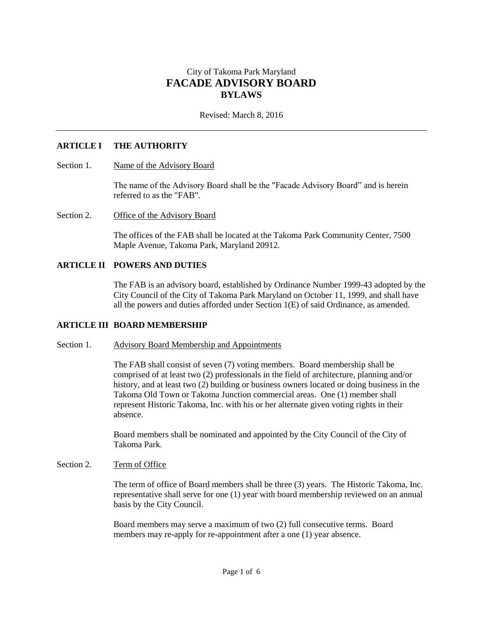# City of Takoma Park Maryland **FACADE ADVISORY BOARD BYLAWS**

Revised: March 8, 2016

# **ARTICLE I THE AUTHORITY**

### Section 1. Name of the Advisory Board

The name of the Advisory Board shall be the "Facade Advisory Board" and is herein referred to as the "FAB".

#### Section 2. Office of the Advisory Board

The offices of the FAB shall be located at the Takoma Park Community Center, 7500 Maple Avenue, Takoma Park, Maryland 20912.

### **ARTICLE II POWERS AND DUTIES**

The FAB is an advisory board, established by Ordinance Number 1999-43 adopted by the City Council of the City of Takoma Park Maryland on October 11, 1999, and shall have all the powers and duties afforded under Section 1(E) of said Ordinance, as amended.

### **ARTICLE III BOARD MEMBERSHIP**

### Section 1. Advisory Board Membership and Appointments

The FAB shall consist of seven (7) voting members. Board membership shall be comprised of at least two (2) professionals in the field of architecture, planning and/or history, and at least two (2) building or business owners located or doing business in the Takoma Old Town or Takoma Junction commercial areas. One (1) member shall represent Historic Takoma, Inc. with his or her alternate given voting rights in their absence.

Board members shall be nominated and appointed by the City Council of the City of Takoma Park.

#### Section 2. Term of Office

The term of office of Board members shall be three (3) years. The Historic Takoma, Inc. representative shall serve for one (1) year with board membership reviewed on an annual basis by the City Council.

Board members may serve a maximum of two (2) full consecutive terms. Board members may re-apply for re-appointment after a one (1) year absence.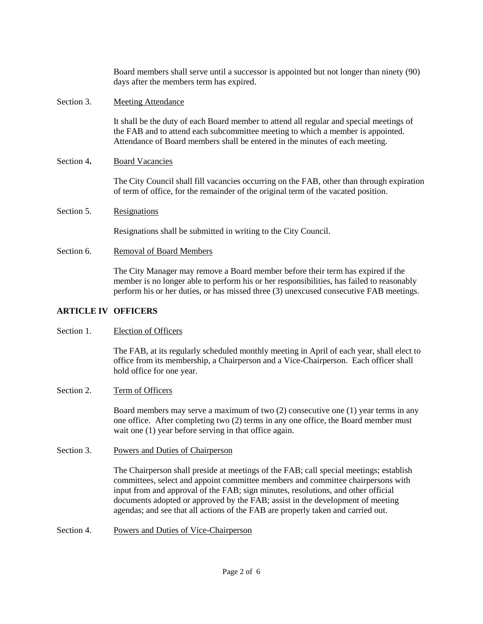|            | Board members shall serve until a successor is appointed but not longer than ninety (90)<br>days after the members term has expired.                                                                                                                                   |
|------------|------------------------------------------------------------------------------------------------------------------------------------------------------------------------------------------------------------------------------------------------------------------------|
| Section 3. | <b>Meeting Attendance</b>                                                                                                                                                                                                                                              |
|            | It shall be the duty of each Board member to attend all regular and special meetings of<br>the FAB and to attend each subcommittee meeting to which a member is appointed.<br>Attendance of Board members shall be entered in the minutes of each meeting.             |
| Section 4. | <b>Board Vacancies</b>                                                                                                                                                                                                                                                 |
|            | The City Council shall fill vacancies occurring on the FAB, other than through expiration<br>of term of office, for the remainder of the original term of the vacated position.                                                                                        |
| Section 5. | Resignations                                                                                                                                                                                                                                                           |
|            | Resignations shall be submitted in writing to the City Council.                                                                                                                                                                                                        |
| Section 6. | <b>Removal of Board Members</b>                                                                                                                                                                                                                                        |
|            | The City Manager may remove a Board member before their term has expired if the<br>member is no longer able to perform his or her responsibilities, has failed to reasonably<br>perform his or her duties, or has missed three (3) unexcused consecutive FAB meetings. |
|            |                                                                                                                                                                                                                                                                        |

# **ARTICLE IV OFFICERS**

### Section 1. Election of Officers

The FAB, at its regularly scheduled monthly meeting in April of each year, shall elect to office from its membership, a Chairperson and a Vice-Chairperson. Each officer shall hold office for one year.

# Section 2. Term of Officers

Board members may serve a maximum of two (2) consecutive one (1) year terms in any one office. After completing two (2) terms in any one office, the Board member must wait one (1) year before serving in that office again.

Section 3. Powers and Duties of Chairperson

The Chairperson shall preside at meetings of the FAB; call special meetings; establish committees, select and appoint committee members and committee chairpersons with input from and approval of the FAB; sign minutes, resolutions, and other official documents adopted or approved by the FAB; assist in the development of meeting agendas; and see that all actions of the FAB are properly taken and carried out.

Section 4. Powers and Duties of Vice-Chairperson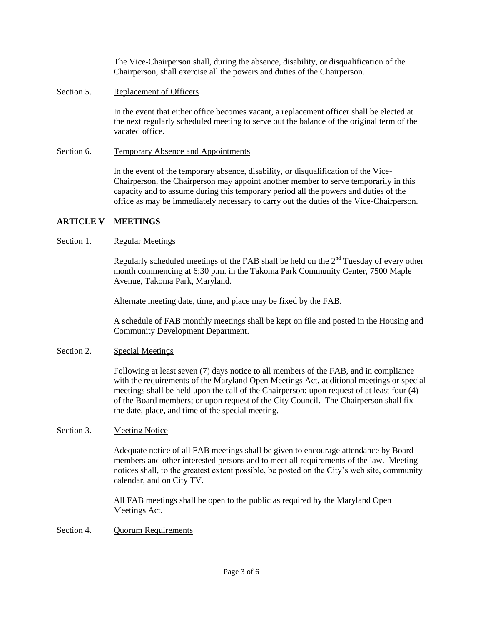The Vice-Chairperson shall, during the absence, disability, or disqualification of the Chairperson, shall exercise all the powers and duties of the Chairperson.

Section 5. Replacement of Officers

In the event that either office becomes vacant, a replacement officer shall be elected at the next regularly scheduled meeting to serve out the balance of the original term of the vacated office.

Section 6. Temporary Absence and Appointments

In the event of the temporary absence, disability, or disqualification of the Vice-Chairperson, the Chairperson may appoint another member to serve temporarily in this capacity and to assume during this temporary period all the powers and duties of the office as may be immediately necessary to carry out the duties of the Vice-Chairperson.

## **ARTICLE V MEETINGS**

## Section 1. Regular Meetings

Regularly scheduled meetings of the FAB shall be held on the  $2<sup>nd</sup>$  Tuesday of every other month commencing at 6:30 p.m. in the Takoma Park Community Center, 7500 Maple Avenue, Takoma Park, Maryland.

Alternate meeting date, time, and place may be fixed by the FAB.

A schedule of FAB monthly meetings shall be kept on file and posted in the Housing and Community Development Department.

### Section 2. Special Meetings

Following at least seven (7) days notice to all members of the FAB, and in compliance with the requirements of the Maryland Open Meetings Act, additional meetings or special meetings shall be held upon the call of the Chairperson; upon request of at least four (4) of the Board members; or upon request of the City Council. The Chairperson shall fix the date, place, and time of the special meeting.

### Section 3. Meeting Notice

Adequate notice of all FAB meetings shall be given to encourage attendance by Board members and other interested persons and to meet all requirements of the law. Meeting notices shall, to the greatest extent possible, be posted on the City's web site, community calendar, and on City TV.

All FAB meetings shall be open to the public as required by the Maryland Open Meetings Act.

Section 4. Quorum Requirements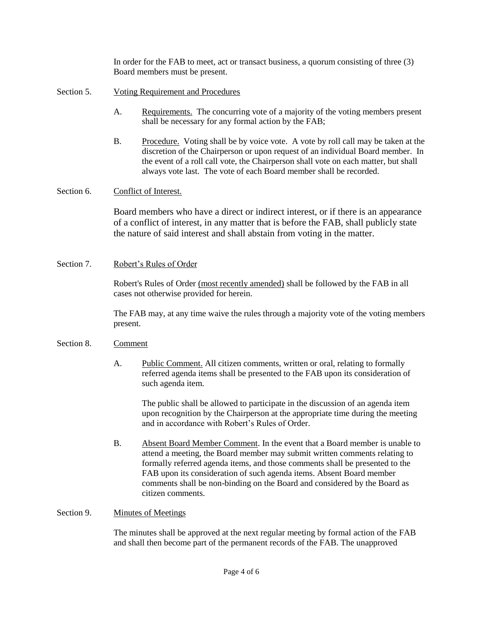In order for the FAB to meet, act or transact business, a quorum consisting of three (3) Board members must be present.

- Section 5. Voting Requirement and Procedures
	- A. Requirements. The concurring vote of a majority of the voting members present shall be necessary for any formal action by the FAB;
	- B. Procedure. Voting shall be by voice vote. A vote by roll call may be taken at the discretion of the Chairperson or upon request of an individual Board member. In the event of a roll call vote, the Chairperson shall vote on each matter, but shall always vote last. The vote of each Board member shall be recorded.

## Section 6. Conflict of Interest.

Board members who have a direct or indirect interest, or if there is an appearance of a conflict of interest, in any matter that is before the FAB, shall publicly state the nature of said interest and shall abstain from voting in the matter.

## Section 7. Robert's Rules of Order

Robert's Rules of Order (most recently amended) shall be followed by the FAB in all cases not otherwise provided for herein.

The FAB may, at any time waive the rules through a majority vote of the voting members present.

# Section 8. Comment

A. Public Comment. All citizen comments, written or oral, relating to formally referred agenda items shall be presented to the FAB upon its consideration of such agenda item.

The public shall be allowed to participate in the discussion of an agenda item upon recognition by the Chairperson at the appropriate time during the meeting and in accordance with Robert's Rules of Order.

B. Absent Board Member Comment. In the event that a Board member is unable to attend a meeting, the Board member may submit written comments relating to formally referred agenda items, and those comments shall be presented to the FAB upon its consideration of such agenda items. Absent Board member comments shall be non-binding on the Board and considered by the Board as citizen comments.

## Section 9. Minutes of Meetings

The minutes shall be approved at the next regular meeting by formal action of the FAB and shall then become part of the permanent records of the FAB. The unapproved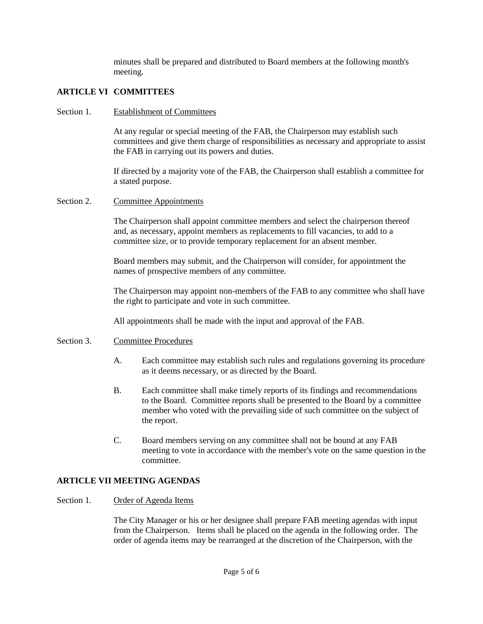minutes shall be prepared and distributed to Board members at the following month's meeting.

# **ARTICLE VI COMMITTEES**

## Section 1. Establishment of Committees

At any regular or special meeting of the FAB, the Chairperson may establish such committees and give them charge of responsibilities as necessary and appropriate to assist the FAB in carrying out its powers and duties.

If directed by a majority vote of the FAB, the Chairperson shall establish a committee for a stated purpose.

## Section 2. Committee Appointments

The Chairperson shall appoint committee members and select the chairperson thereof and, as necessary, appoint members as replacements to fill vacancies, to add to a committee size, or to provide temporary replacement for an absent member.

Board members may submit, and the Chairperson will consider, for appointment the names of prospective members of any committee.

The Chairperson may appoint non-members of the FAB to any committee who shall have the right to participate and vote in such committee.

All appointments shall be made with the input and approval of the FAB.

### Section 3. Committee Procedures

- A. Each committee may establish such rules and regulations governing its procedure as it deems necessary, or as directed by the Board.
- B. Each committee shall make timely reports of its findings and recommendations to the Board. Committee reports shall be presented to the Board by a committee member who voted with the prevailing side of such committee on the subject of the report.
- C. Board members serving on any committee shall not be bound at any FAB meeting to vote in accordance with the member's vote on the same question in the committee.

# **ARTICLE VII MEETING AGENDAS**

# Section 1. Order of Agenda Items

The City Manager or his or her designee shall prepare FAB meeting agendas with input from the Chairperson. Items shall be placed on the agenda in the following order. The order of agenda items may be rearranged at the discretion of the Chairperson, with the